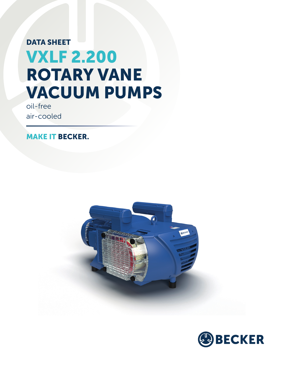## DATA SHEET VXLF 2.200 ROTARY VANE VACUUM PUMPS

oil-free air-cooled

MAKE IT BECKER.



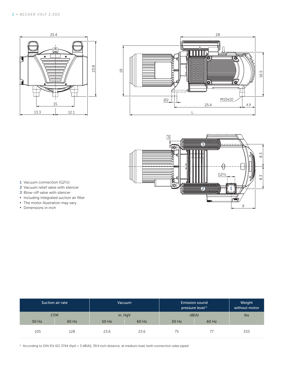





- 1 Vacuum connection (G2½)
- 2 Vacuum relief valve with silencer
- 3 Blow-off valve with silencer
- **▪** Including integrated suction air filter
- **•** The motor illustration may vary.
- **▪** Dimensions in inch

|            | Suction air rate | <b>Vacuum</b> |       | <b>Emission sound</b><br>pressure level <sup>1)</sup> | Weight<br>without motor |     |
|------------|------------------|---------------|-------|-------------------------------------------------------|-------------------------|-----|
| <b>CFM</b> |                  | in. HgV       |       | dB(A)                                                 | lbs                     |     |
| 50 Hz      | 60 Hz            | 50 Hz         | 60 Hz | 50 Hz                                                 | 60 Hz                   |     |
| 105        | 128              | 23.6          | 23.6  | 75                                                    |                         | 333 |

<sup>1)</sup> According to DIN EN ISO 3744 (KpA = 3 dB(A)), 39.4 inch distance, at medium load, both connection sides piped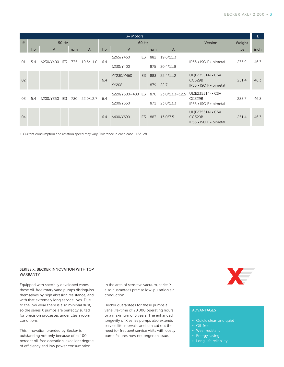| $3~M$ Motors   |       |               |     |                |     |                   |       |                           |                                                              | $\mathbf{L}$                                                 |        |                  |
|----------------|-------|---------------|-----|----------------|-----|-------------------|-------|---------------------------|--------------------------------------------------------------|--------------------------------------------------------------|--------|------------------|
| #              | 50 Hz |               |     |                |     |                   | 60 Hz |                           |                                                              | Version                                                      | Weight |                  |
|                | hp    | V             | rpm | $\overline{A}$ | hp  | V                 |       | rpm                       | $\overline{A}$                                               |                                                              | lbs    | inch             |
| 01<br>5.4      |       | Δ230/Y400 IE3 | 735 | 19.6/11.0      | 6.4 | Δ265/Y460         | IE3   | 882                       | 19.6/11.3                                                    | IP55 • ISO F • bimetal                                       | 235.9  | 46.3             |
|                |       |               |     |                |     | ∆230/Y400         |       | 875                       | 20.4/11.8                                                    |                                                              |        |                  |
| 0 <sup>2</sup> |       |               |     |                | 6.4 | YY230/Y460        | IE3   | 883                       | 22.4/11.2                                                    | UL(E235514) • CSA<br><b>CC329B</b><br>IP55 • ISO F • bimetal | 251.4  | 46.3             |
|                |       |               |     |                |     | <b>YY208</b>      |       | 879                       | 22.7                                                         |                                                              |        |                  |
| 03             | 5.4   | Δ200/Y350 IE3 | 730 | 22.0/12.7      | 6.4 | A220/Y380-400 IE3 |       | 876<br>$23.0/13.3 - 12.5$ | UL(E235514) • CSA<br><b>CC329B</b><br>IP55 • ISO F • bimetal | 233.7                                                        | 46.3   |                  |
|                |       |               |     |                |     | Δ200/Y350         |       |                           |                                                              |                                                              |        | 23.0/13.3<br>871 |
| 04             |       |               |     |                | 6.4 | Δ400/Y690         | IE3   | 883                       | 13.0/7.5                                                     | UL(E235514) • CSA<br><b>CC329B</b><br>IP55 • ISO F • bimetal | 251.4  | 46.3             |

**▪** Current consumption and rotation speed may vary. Tolerance in each case -1.5/+2%

## SERIES X: BECKER INNOVATION WITH TOP WARRANTY

Equipped with specially developed vanes, these oil-free rotary vane pumps distinguish themselves by high abrasion resistance, and with that extremely long service lives. Due to the low wear there is also minimal dust, so the series X pumps are perfectly suited for precision processes under clean room conditions.

This innovation branded by Becker is outstanding not only because of its 100 percent oil-free operation, excellent degree of efficiency and low power consumption.

In the area of sensitive vacuum, series X also guarantees precise low-pulsation air conduction.

Becker guarantees for these pumps a vane life-time of 20,000 operating hours or a maximum of 3 years. The enhanced longevity of X series pumps also extends service life intervals, and can cut out the need for frequent service visits with costly pump failures now no longer an issue.



## ADVANTAGES

- Quick, clean and quiet
- Oil-free
- 
- Energy saving
- Long-life reliability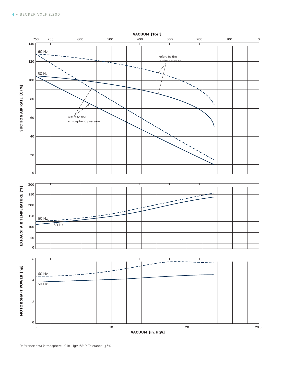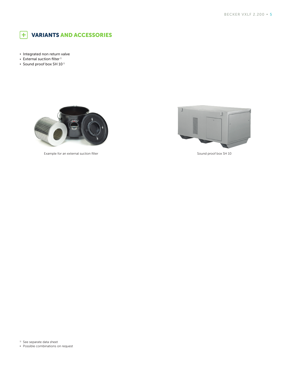

- **▪** Integrated non return valve
- **•** External suction filter<sup>1)</sup>
- **•** Sound proof box SH 10<sup>1)</sup>



Example for an external suction filter Sound proof box SH 10



- <sup>1)</sup> See separate data sheet
- **▪** Possible combinations on request